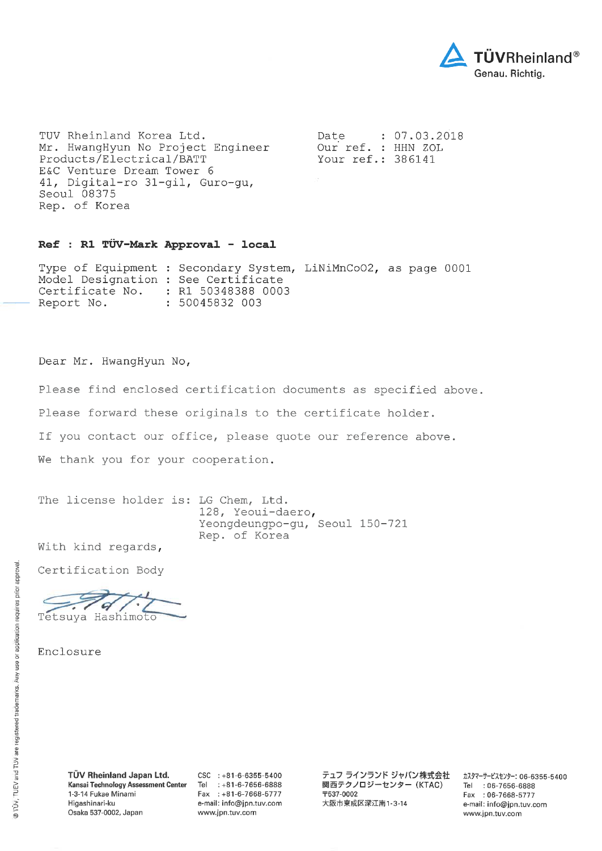

TUV Rheinland Korea Ltd. Mr. HwangHyun No Project Engineer Products/Electrical/BATT E&C Venture Dream Tower 6 41, Digital-ro 31-gil, Guro-gu, Seoul 08375 Rep. of Korea

Date  $: 07.03.2018$ Our ref. : HHN ZOL Your ref.: 386141

## Ref : R1 TÜV-Mark Approval - local

Type of Equipment : Secondary System, LiNiMnCoO2, as page 0001 Model Designation : See Certificate : R1 50348388 0003 Certificate No. : 50045832 003 Report No.

Dear Mr. HwangHyun No,

Please find enclosed certification documents as specified above.

Please forward these originals to the certificate holder.

If you contact our office, please quote our reference above.

We thank you for your cooperation.

The license holder is: LG Chem, Ltd. 128, Yeoui-daero, Yeongdeungpo-gu, Seoul 150-721 Rep. of Korea

With kind regards,

Certification Body

9 Tetsuya Hashimoto

 $CSC$  : +81-6-6355-5400 Tel :  $+81-6-7656-6888$ Fax: +81-6-7668-5777 e-mail: info@jpn.tuv.com www.jpn.tuv.com

テュフ ラインランド ジャパン株式会社 関西テクノロジーセンター (KTAC) 〒537-0002 大阪市東成区深江南1-3-14

カスタマーサービスセンター: 06-6355-5400 Tel : 06-7656-6888 Fax: 06-7668-5777 e-mail: info@jpn.tuv.com www.jpn.tuv.com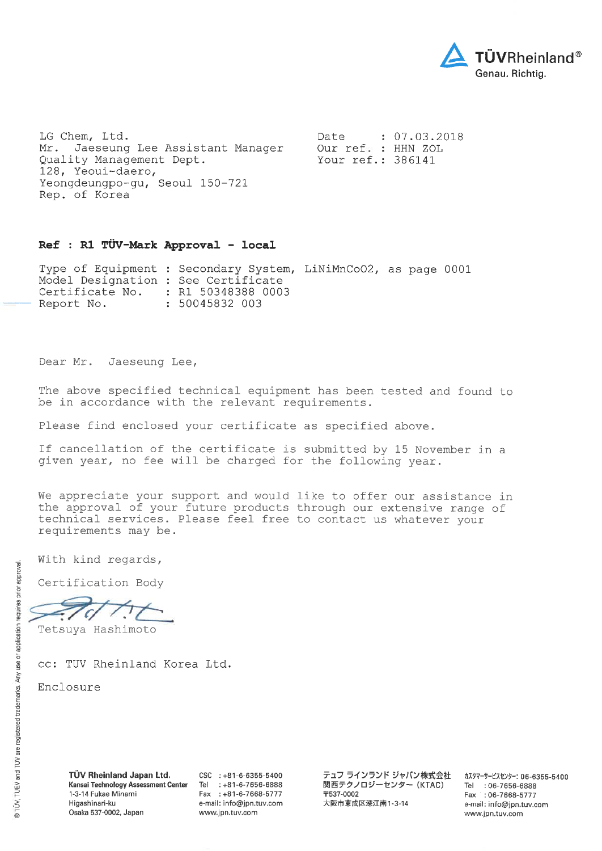

LG Chem, Ltd. Mr. Jaeseung Lee Assistant Manager Quality Management Dept. 128, Yeoui-daero, Yeongdeungpo-gu, Seoul 150-721 Rep. of Korea

Date  $: 07.03.2018$ Our ref. : HHN ZOL Your ref.: 386141

## Ref : R1 TÜV-Mark Approval - local

Type of Equipment : Secondary System, LiNiMnCoO2, as page 0001 Model Designation : See Certificate Certificate No. : R1 50348388 0003 Report No. : 50045832 003

Dear Mr. Jaeseung Lee,

The above specified technical equipment has been tested and found to be in accordance with the relevant requirements.

Please find enclosed your certificate as specified above.

If cancellation of the certificate is submitted by 15 November in a given year, no fee will be charged for the following year.

We appreciate your support and would like to offer our assistance in the approval of your future products through our extensive range of technical services. Please feel free to contact us whatever your requirements may be.

With kind regards,

Certification Body

G

Tetsuya Hashimoto

cc: TUV Rheinland Korea Ltd.

Enclosure

TÜV Rheinland Japan Ltd. Kansai Technology Assessment Center 1-3-14 Fukae Minami Higashinari-ku Osaka 537-0002, Japan

 $CSC$  : +81-6-6355-5400 Tel : +81-6-7656-6888 Fax: +81-6-7668-5777 e-mail: info@jpn.tuv.com www.jpn.tuv.com

テュフ ラインランド ジャパン株式会社 関西テクノロジーセンター (KTAC) 〒537-0002 大阪市東成区深江南1-3-14

カスタマーサービスセンター: 06-6355-5400 Tel: 06-7656-6888 Fax: : 06-7668-5777 e-mail: info@jpn.tuv.com www.jpn.tuv.com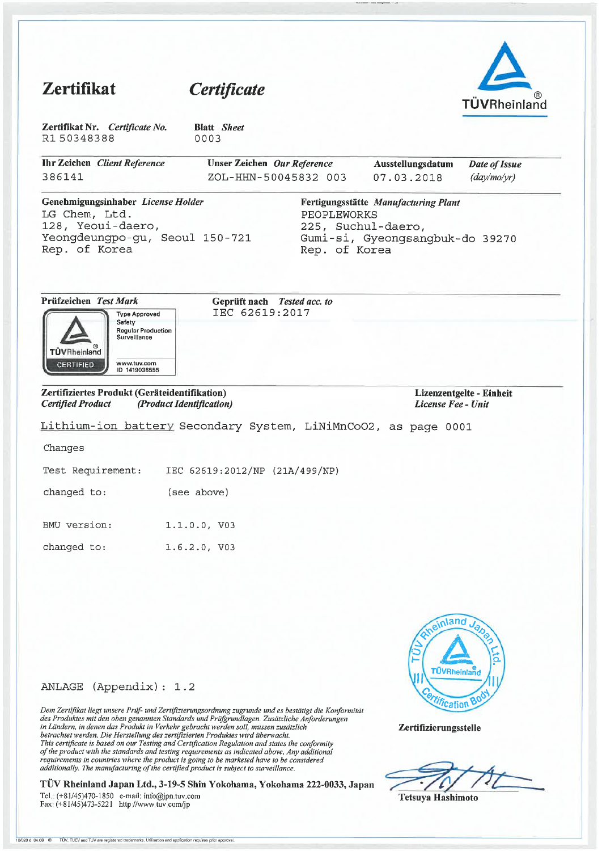## Zertifikat Certificate TÜVRheinland Zertifikat Nr. Certificate No. **Blatt** Sheet R150348388 0003 **Ihr Zeichen** Client Reference Unser Zeichen Our Reference Date of Issue Ausstellungsdatum 386141 ZOL-HHN-50045832 003 07.03.2018  $\frac{day}{mo/yr}$ Genehmigungsinhaber License Holder Fertigungsstätte Manufacturing Plant LG Chem, Ltd. PEOPLEWORKS 128, Yeoui-daero, 225, Suchul-daero, Yeongdeungpo-gu, Seoul 150-721 Gumi-si, Gyeongsangbuk-do 39270 Rep. of Korea Rep. of Korea Prüfzeichen Test Mark Geprüft nach Tested acc. to IEC 62619:2017 **Type Approved** Safety **Regular Production** Surveillance ക TÜVRheinland www.tuv.com<br>ID 1419036555 **CERTIFIED** Zertifiziertes Produkt (Geräteidentifikation) Lizenzentgelte - Einheit **Certified Product** (Product Identification) License Fee - Unit Lithium-ion battery Secondary System, LiNiMnCoO2, as page 0001 Changes IEC 62619:2012/NP (21A/499/NP) Test Requirement: changed to: (see above) BMU version: 1.1.0.0, V03 changed to:  $1.6.2.0, V03$  $\lambda$ ano **UVRheinl**

# ANLAGE (Appendix): 1.2

Dem Zertifikat liegt unsere Prüf- und Zertifizierungsordnung zugrunde und es bestätigt die Konformität Dem Zeitgund negt unsere 11 up- und Zeitgund auf der Produktes mit es vestiligt die Kongori<br>in Ländern, in denen das Produkt in Verkehr gebracht werden soll, müssen zusätzlich hetrachtet werden. Die Herstellung des zertifi This certificate is based on our Testing and Certification Regulation and states the conformity of the product with the standards and testing requirements as indicated above. Any additional requirements in countries where the product is going to be marketed have to be considered additionally. The manufacturing of the certified product is subject to surveillance.

TÜV Rheinland Japan Ltd., 3-19-5 Shin Yokohama, Yokohama 222-0033, Japan Tel. (+81/45)470-1850 e-mail: info@jpn.tuv.com

Fax: (+81/45)473-5221 http://www.tuv.com/jp

*Ufication B* 

**Tetsuya Hashimoto** 

Zertifizierungsstelle